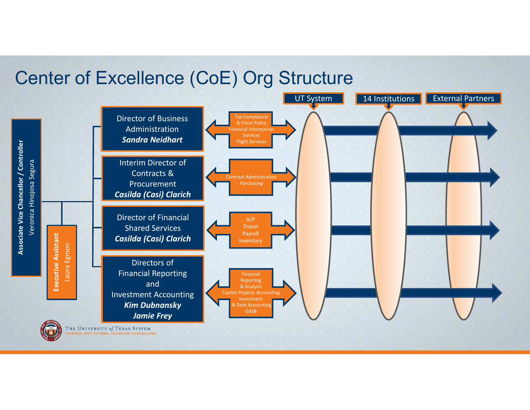#### Center of Excellence (CoE) Org Structure

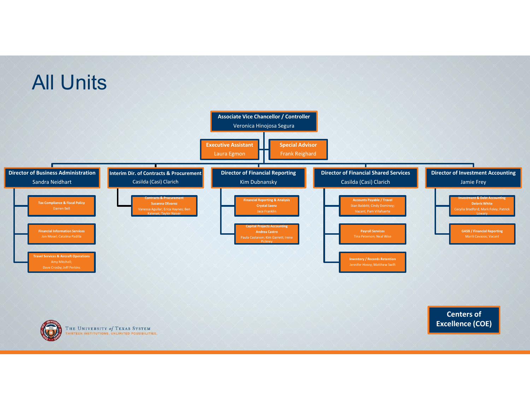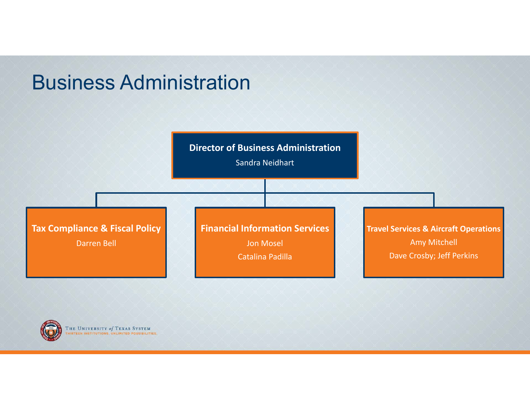## Business Administration





THE UNIVERSITY of TEXAS SYSTEM **RTEEN INSTITUTIONS. UNLIMITED POSSIBILITIES**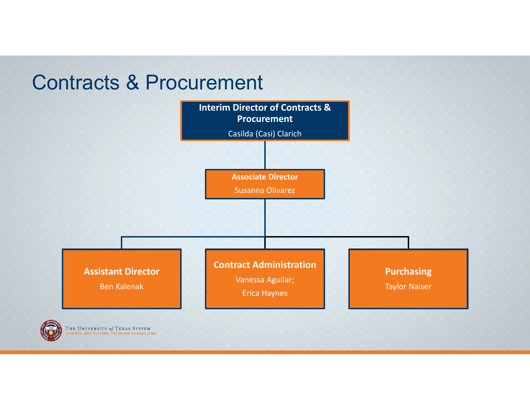## Contracts & Procurement



THE UNIVERSITY of TEXAS SYSTEM **RTEEN INSTITUTIONS. UNLIMITED POSSIBILITIES**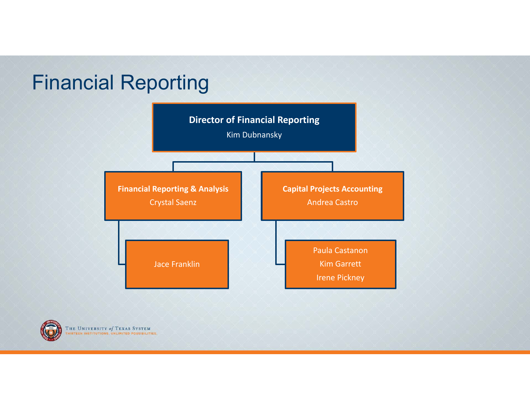# Financial Reporting





THE UNIVERSITY of TEXAS SYSTEM **IRTEEN INSTITUTIONS. UNLIMITED POSSIBILITIES**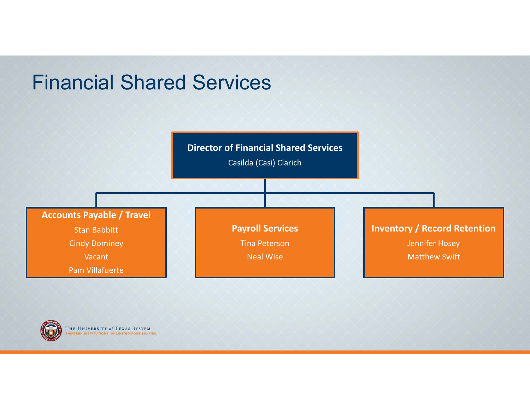## Financial Shared Services





THE UNIVERSITY of TEXAS SYSTEM RTEEN INSTITUTIONS. UNLIMITED POSSIBILITIES